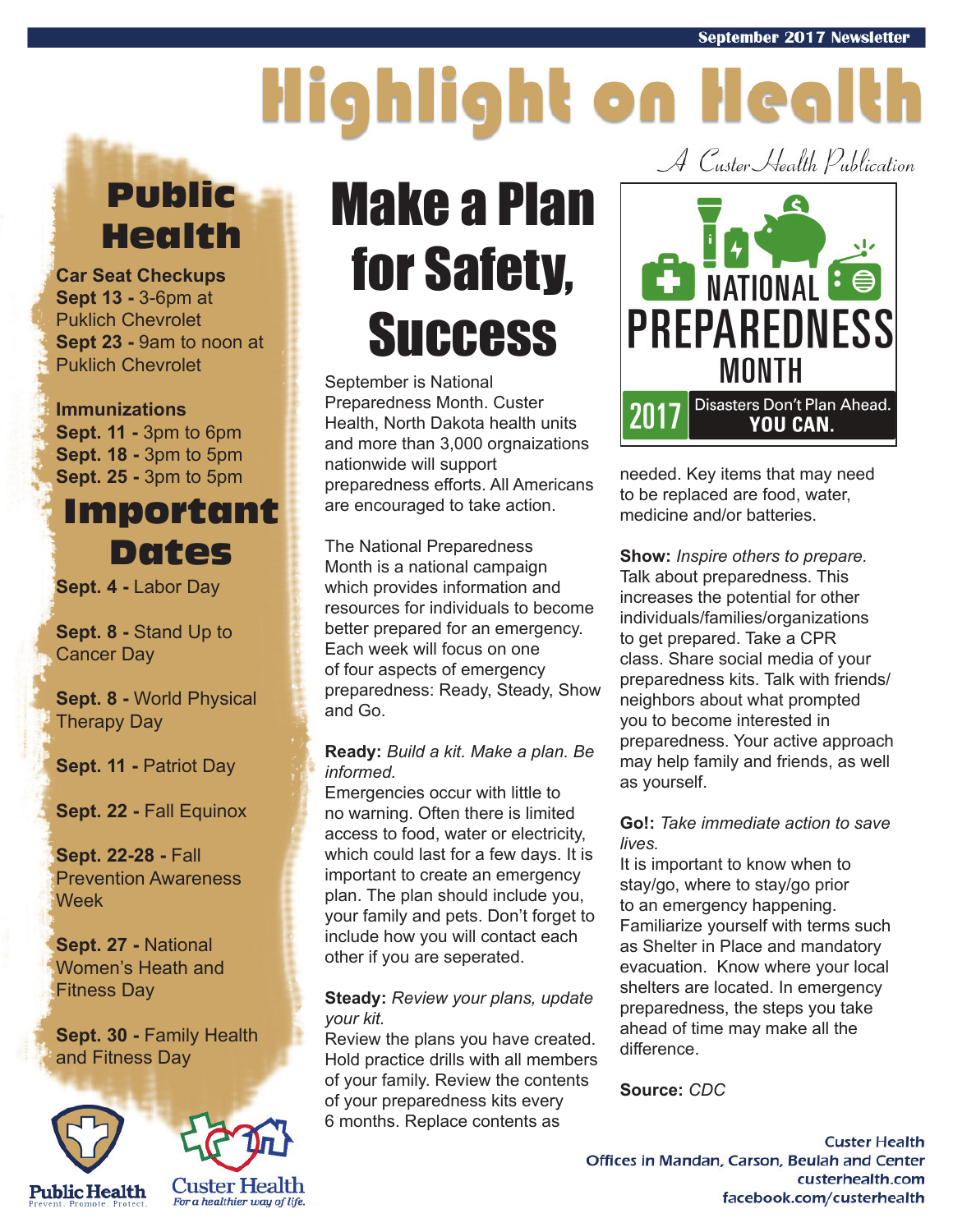# Highlight on Health

## Public Health

**Car Seat Checkups Sept 13 -** 3-6pm at Puklich Chevrolet **Sept 23 -** 9am to noon at Puklich Chevrolet

#### **Immunizations**

**Sept. 11 -** 3pm to 6pm **Sept. 18 -** 3pm to 5pm **Sept. 25 -** 3pm to 5pm

### Important Dates

**Sept. 4 -** Labor Day

**Sept. 8 -** Stand Up to Cancer Day

**Sept. 8 -** World Physical Therapy Day

**Sept. 11 - Patriot Day** 

**Sept. 22 -** Fall Equinox

**Sept. 22-28 -** Fall Prevention Awareness **Week** 

**Sept. 27 -** National Women's Heath and Fitness Day

**Sept. 30 - Family Health** and Fitness Day





## Make a Plan for Safety, **Success**

September is National Preparedness Month. Custer Health, North Dakota health units and more than 3,000 orgnaizations nationwide will support preparedness efforts. All Americans are encouraged to take action.

The National Preparedness Month is a national campaign which provides information and resources for individuals to become better prepared for an emergency. Each week will focus on one of four aspects of emergency preparedness: Ready, Steady, Show and Go.

#### **Ready:** *Build a kit. Make a plan. Be informed.*

Emergencies occur with little to no warning. Often there is limited access to food, water or electricity, which could last for a few days. It is important to create an emergency plan. The plan should include you, your family and pets. Don't forget to include how you will contact each other if you are seperated.

#### **Steady:** *Review your plans, update your kit.*

Review the plans you have created. Hold practice drills with all members of your family. Review the contents of your preparedness kits every 6 months. Replace contents as

A Custer Health Publication



needed. Key items that may need to be replaced are food, water, medicine and/or batteries.

**Show:** *Inspire others to prepare.* Talk about preparedness. This increases the potential for other individuals/families/organizations to get prepared. Take a CPR class. Share social media of your preparedness kits. Talk with friends/ neighbors about what prompted you to become interested in preparedness. Your active approach may help family and friends, as well as yourself.

#### **Go!:** *Take immediate action to save lives.*

It is important to know when to stay/go, where to stay/go prior to an emergency happening. Familiarize yourself with terms such as Shelter in Place and mandatory evacuation. Know where your local shelters are located. In emergency preparedness, the steps you take ahead of time may make all the difference.

**Source:** *CDC* 

**Custer Health** Offices in Mandan, Carson, Beulah and Center custerhealth.com facebook.com/custerhealth